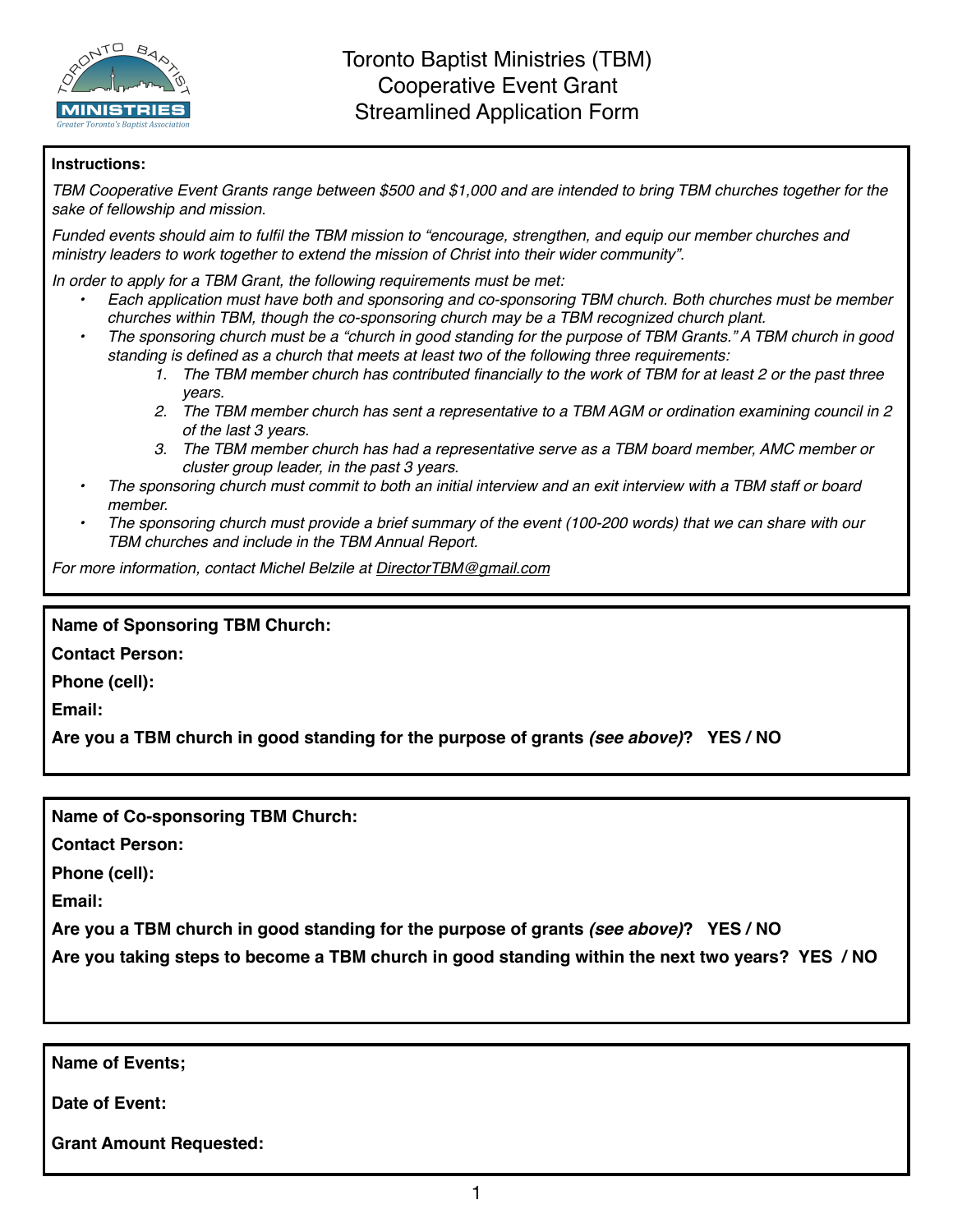

## **Instructions:**

*TBM Cooperative Event Grants range between \$500 and \$1,000 and are intended to bring TBM churches together for the sake of fellowship and mission.* 

*Funded events should aim to fulfil the TBM mission to "encourage, strengthen, and equip our member churches and ministry leaders to work together to extend the mission of Christ into their wider community".*

*In order to apply for a TBM Grant, the following requirements must be met:*

- *• Each application must have both and sponsoring and co-sponsoring TBM church. Both churches must be member churches within TBM, though the co-sponsoring church may be a TBM recognized church plant.*
- *• The sponsoring church must be a "church in good standing for the purpose of TBM Grants." A TBM church in good standing is defined as a church that meets at least two of the following three requirements:*
	- *1. The TBM member church has contributed financially to the work of TBM for at least 2 or the past three years.*
	- *2. The TBM member church has sent a representative to a TBM AGM or ordination examining council in 2 of the last 3 years.*
	- *3. The TBM member church has had a representative serve as a TBM board member, AMC member or cluster group leader, in the past 3 years.*
- *• The sponsoring church must commit to both an initial interview and an exit interview with a TBM staff or board member.*
- *• The sponsoring church must provide a brief summary of the event (100-200 words) that we can share with our TBM churches and include in the TBM Annual Report.*

*For more information, contact Michel Belzile at [DirectorTBM@gmail.com](mailto:DirectorTBM@gmail.com)*

## **Name of Sponsoring TBM Church:**

**Contact Person:**

**Phone (cell):**

**Email:**

**Are you a TBM church in good standing for the purpose of grants** *(see above)***? YES / NO**

**Name of Co-sponsoring TBM Church:**

**Contact Person:**

**Phone (cell):**

**Email:**

**Are you a TBM church in good standing for the purpose of grants** *(see above)***? YES / NO**

**Are you taking steps to become a TBM church in good standing within the next two years? YES / NO**

**Name of Events;**

**Date of Event:**

**Grant Amount Requested:**